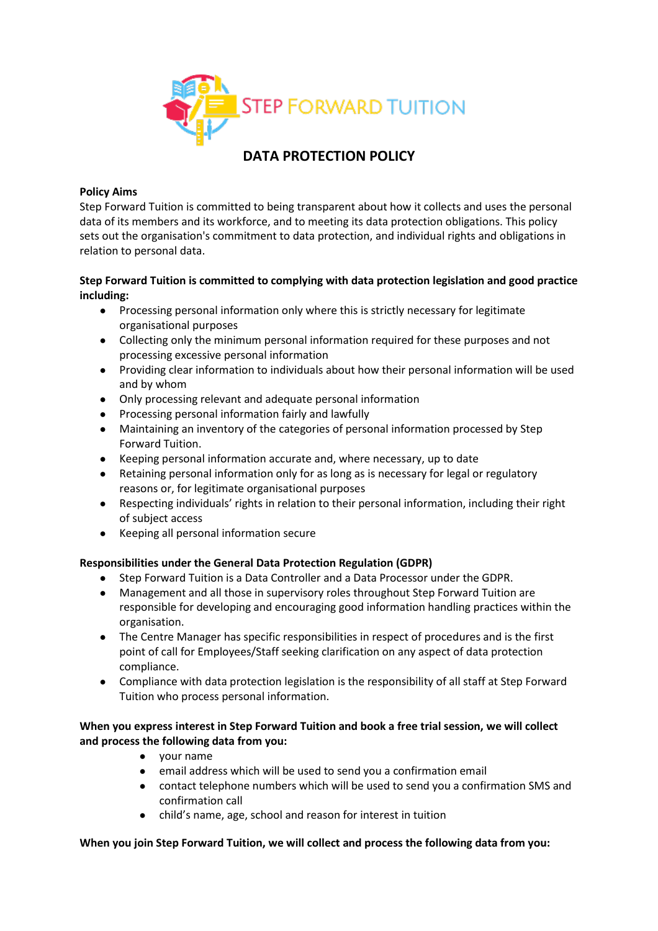

# **DATA PROTECTION POLICY**

#### **Policy Aims**

Step Forward Tuition is committed to being transparent about how it collects and uses the personal data of its members and its workforce, and to meeting its data protection obligations. This policy sets out the organisation's commitment to data protection, and individual rights and obligations in relation to personal data.

#### **Step Forward Tuition is committed to complying with data protection legislation and good practice including:**

- Processing personal information only where this is strictly necessary for legitimate organisational purposes
- Collecting only the minimum personal information required for these purposes and not processing excessive personal information
- Providing clear information to individuals about how their personal information will be used and by whom
- Only processing relevant and adequate personal information
- Processing personal information fairly and lawfully
- Maintaining an inventory of the categories of personal information processed by Step Forward Tuition.
- Keeping personal information accurate and, where necessary, up to date
- Retaining personal information only for as long as is necessary for legal or regulatory reasons or, for legitimate organisational purposes
- Respecting individuals' rights in relation to their personal information, including their right of subject access
- Keeping all personal information secure

#### **Responsibilities under the General Data Protection Regulation (GDPR)**

- Step Forward Tuition is a Data Controller and a Data Processor under the GDPR.
- Management and all those in supervisory roles throughout Step Forward Tuition are responsible for developing and encouraging good information handling practices within the organisation.
- The Centre Manager has specific responsibilities in respect of procedures and is the first point of call for Employees/Staff seeking clarification on any aspect of data protection compliance.
- Compliance with data protection legislation is the responsibility of all staff at Step Forward Tuition who process personal information.

## **When you express interest in Step Forward Tuition and book a free trial session, we will collect and process the following data from you:**

- your name
- email address which will be used to send you a confirmation email
- contact telephone numbers which will be used to send you a confirmation SMS and confirmation call
- child's name, age, school and reason for interest in tuition

#### **When you join Step Forward Tuition, we will collect and process the following data from you:**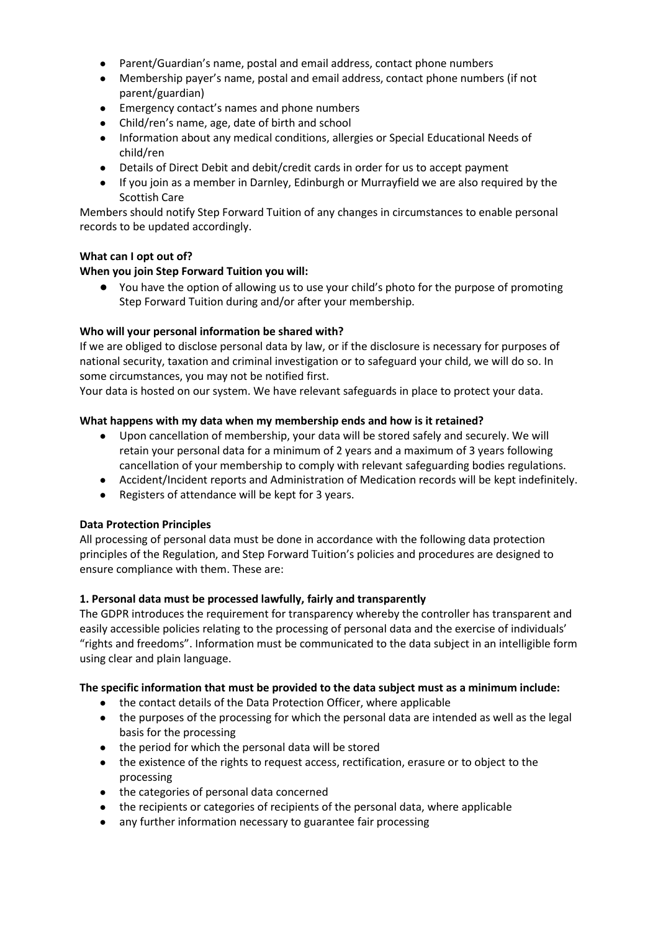- Parent/Guardian's name, postal and email address, contact phone numbers
- Membership payer's name, postal and email address, contact phone numbers (if not parent/guardian)
- Emergency contact's names and phone numbers
- Child/ren's name, age, date of birth and school
- Information about any medical conditions, allergies or Special Educational Needs of child/ren
- Details of Direct Debit and debit/credit cards in order for us to accept payment
- If you join as a member in Darnley, Edinburgh or Murrayfield we are also required by the Scottish Care

Members should notify Step Forward Tuition of any changes in circumstances to enable personal records to be updated accordingly.

## **What can I opt out of?**

## **When you join Step Forward Tuition you will:**

● You have the option of allowing us to use your child's photo for the purpose of promoting Step Forward Tuition during and/or after your membership.

#### **Who will your personal information be shared with?**

If we are obliged to disclose personal data by law, or if the disclosure is necessary for purposes of national security, taxation and criminal investigation or to safeguard your child, we will do so. In some circumstances, you may not be notified first.

Your data is hosted on our system. We have relevant safeguards in place to protect your data.

#### **What happens with my data when my membership ends and how is it retained?**

- Upon cancellation of membership, your data will be stored safely and securely. We will retain your personal data for a minimum of 2 years and a maximum of 3 years following cancellation of your membership to comply with relevant safeguarding bodies regulations.
- Accident/Incident reports and Administration of Medication records will be kept indefinitely.
- Registers of attendance will be kept for 3 years.

#### **Data Protection Principles**

All processing of personal data must be done in accordance with the following data protection principles of the Regulation, and Step Forward Tuition's policies and procedures are designed to ensure compliance with them. These are:

#### **1. Personal data must be processed lawfully, fairly and transparently**

The GDPR introduces the requirement for transparency whereby the controller has transparent and easily accessible policies relating to the processing of personal data and the exercise of individuals' "rights and freedoms". Information must be communicated to the data subject in an intelligible form using clear and plain language.

#### **The specific information that must be provided to the data subject must as a minimum include:**

- the contact details of the Data Protection Officer, where applicable
- the purposes of the processing for which the personal data are intended as well as the legal basis for the processing
- the period for which the personal data will be stored
- the existence of the rights to request access, rectification, erasure or to object to the processing
- the categories of personal data concerned
- the recipients or categories of recipients of the personal data, where applicable
- any further information necessary to guarantee fair processing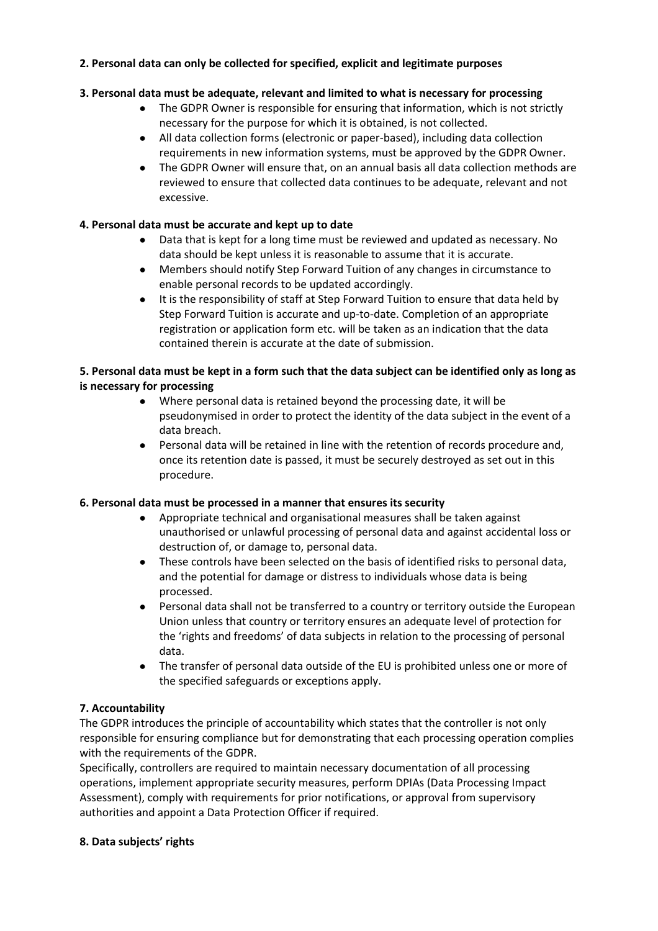## **2. Personal data can only be collected for specified, explicit and legitimate purposes**

## **3. Personal data must be adequate, relevant and limited to what is necessary for processing**

- The GDPR Owner is responsible for ensuring that information, which is not strictly necessary for the purpose for which it is obtained, is not collected.
- All data collection forms (electronic or paper-based), including data collection requirements in new information systems, must be approved by the GDPR Owner.
- The GDPR Owner will ensure that, on an annual basis all data collection methods are reviewed to ensure that collected data continues to be adequate, relevant and not excessive.

### **4. Personal data must be accurate and kept up to date**

- Data that is kept for a long time must be reviewed and updated as necessary. No data should be kept unless it is reasonable to assume that it is accurate.
- Members should notify Step Forward Tuition of any changes in circumstance to enable personal records to be updated accordingly.
- It is the responsibility of staff at Step Forward Tuition to ensure that data held by Step Forward Tuition is accurate and up-to-date. Completion of an appropriate registration or application form etc. will be taken as an indication that the data contained therein is accurate at the date of submission.

### **5. Personal data must be kept in a form such that the data subject can be identified only as long as is necessary for processing**

- Where personal data is retained beyond the processing date, it will be pseudonymised in order to protect the identity of the data subject in the event of a data breach.
- Personal data will be retained in line with the retention of records procedure and, once its retention date is passed, it must be securely destroyed as set out in this procedure.

## **6. Personal data must be processed in a manner that ensures its security**

- Appropriate technical and organisational measures shall be taken against unauthorised or unlawful processing of personal data and against accidental loss or destruction of, or damage to, personal data.
- These controls have been selected on the basis of identified risks to personal data, and the potential for damage or distress to individuals whose data is being processed.
- Personal data shall not be transferred to a country or territory outside the European Union unless that country or territory ensures an adequate level of protection for the 'rights and freedoms' of data subjects in relation to the processing of personal data.
- The transfer of personal data outside of the EU is prohibited unless one or more of the specified safeguards or exceptions apply.

## **7. Accountability**

The GDPR introduces the principle of accountability which states that the controller is not only responsible for ensuring compliance but for demonstrating that each processing operation complies with the requirements of the GDPR.

Specifically, controllers are required to maintain necessary documentation of all processing operations, implement appropriate security measures, perform DPIAs (Data Processing Impact Assessment), comply with requirements for prior notifications, or approval from supervisory authorities and appoint a Data Protection Officer if required.

## **8. Data subjects' rights**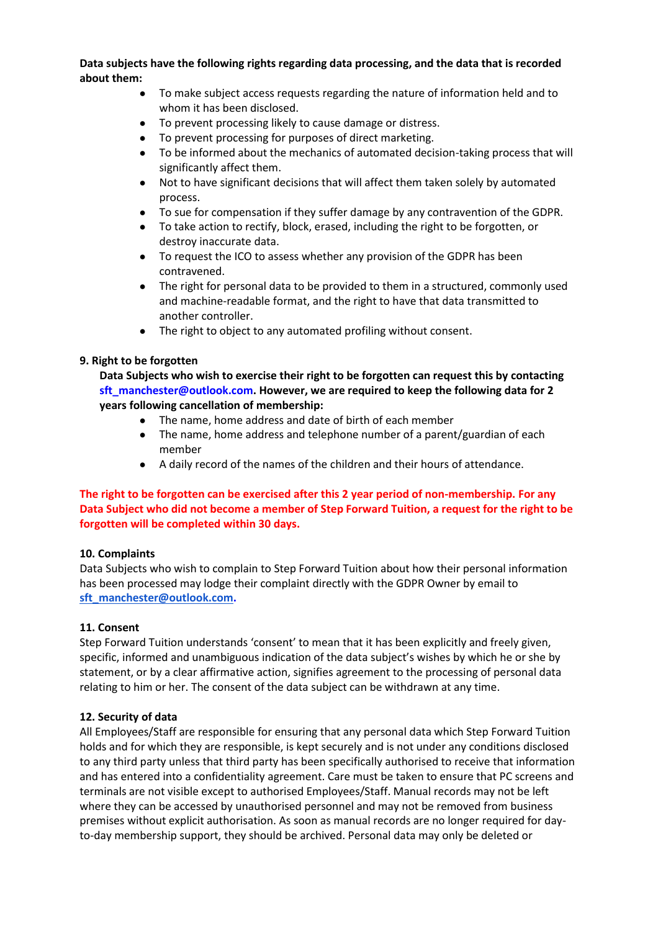#### **Data subjects have the following rights regarding data processing, and the data that is recorded about them:**

- To make subject access requests regarding the nature of information held and to whom it has been disclosed.
- To prevent processing likely to cause damage or distress.
- To prevent processing for purposes of direct marketing.
- To be informed about the mechanics of automated decision-taking process that will significantly affect them.
- Not to have significant decisions that will affect them taken solely by automated process.
- To sue for compensation if they suffer damage by any contravention of the GDPR.
- To take action to rectify, block, erased, including the right to be forgotten, or destroy inaccurate data.
- To request the ICO to assess whether any provision of the GDPR has been contravened.
- The right for personal data to be provided to them in a structured, commonly used and machine-readable format, and the right to have that data transmitted to another controller.
- The right to object to any automated profiling without consent.

#### **9. Right to be forgotten**

**Data Subjects who wish to exercise their right to be forgotten can request this by contacting sft\_manchester@outlook.com. However, we are required to keep the following data for 2 years following cancellation of membership:** 

- The name, home address and date of birth of each member
- The name, home address and telephone number of a parent/guardian of each member
- A daily record of the names of the children and their hours of attendance.

## **The right to be forgotten can be exercised after this 2 year period of non-membership. For any Data Subject who did not become a member of Step Forward Tuition, a request for the right to be forgotten will be completed within 30 days.**

#### **10. Complaints**

Data Subjects who wish to complain to Step Forward Tuition about how their personal information has been processed may lodge their complaint directly with the GDPR Owner by email to **[sft\\_manchester@outlook.com.](mailto:sft_manchester@outlook.com)**

#### **11. Consent**

Step Forward Tuition understands 'consent' to mean that it has been explicitly and freely given, specific, informed and unambiguous indication of the data subject's wishes by which he or she by statement, or by a clear affirmative action, signifies agreement to the processing of personal data relating to him or her. The consent of the data subject can be withdrawn at any time.

#### **12. Security of data**

All Employees/Staff are responsible for ensuring that any personal data which Step Forward Tuition holds and for which they are responsible, is kept securely and is not under any conditions disclosed to any third party unless that third party has been specifically authorised to receive that information and has entered into a confidentiality agreement. Care must be taken to ensure that PC screens and terminals are not visible except to authorised Employees/Staff. Manual records may not be left where they can be accessed by unauthorised personnel and may not be removed from business premises without explicit authorisation. As soon as manual records are no longer required for dayto-day membership support, they should be archived. Personal data may only be deleted or